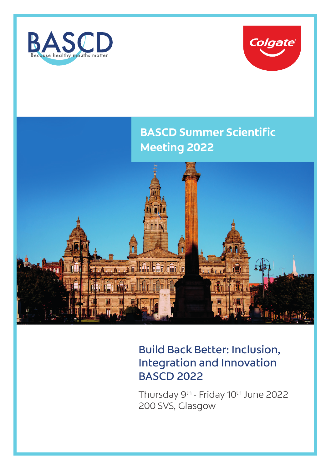



# **BASCD Summer Scientific Meeting 2022**



## Build Back Better: Inclusion, Integration and Innovation BASCD 2022

Thursday 9<sup>th</sup> - Friday 10<sup>th</sup> June 2022 200 SVS, Glasgow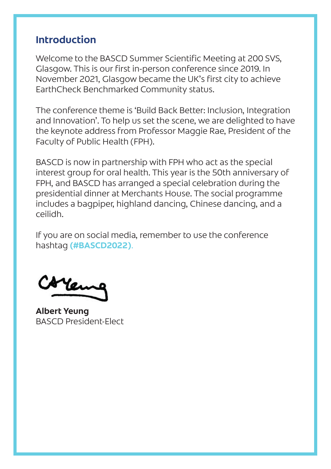#### **Introduction**

Welcome to the BASCD Summer Scientific Meeting at 200 SVS, Glasgow. This is our first in-person conference since 2019. In November 2021, Glasgow became the UK's first city to achieve EarthCheck Benchmarked Community status.

The conference theme is 'Build Back Better: Inclusion, Integration and Innovation'. To help us set the scene, we are delighted to have the keynote address from Professor Maggie Rae, President of the Faculty of Public Health (FPH).

BASCD is now in partnership with FPH who act as the special interest group for oral health. This year is the 50th anniversary of FPH, and BASCD has arranged a special celebration during the presidential dinner at Merchants House. The social programme includes a bagpiper, highland dancing, Chinese dancing, and a ceilidh.

If you are on social media, remember to use the conference hashtag **(#BASCD2022)**.

Colleme

**Albert Yeung** BASCD President-Elect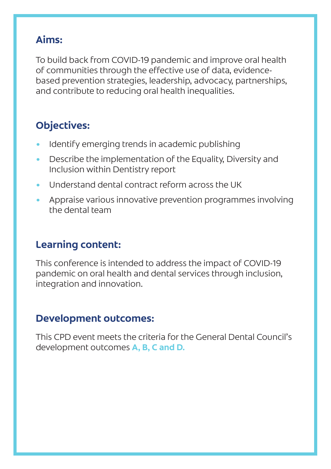### **Aims:**

To build back from COVID-19 pandemic and improve oral health of communities through the effective use of data, evidencebased prevention strategies, leadership, advocacy, partnerships, and contribute to reducing oral health inequalities.

## **Objectives:**

- Identify emerging trends in academic publishing
- Describe the implementation of the Equality, Diversity and Inclusion within Dentistry report
- Understand dental contract reform across the UK
- Appraise various innovative prevention programmes involving the dental team

## **Learning content:**

This conference is intended to address the impact of COVID-19 pandemic on oral health and dental services through inclusion, integration and innovation.

### **Development outcomes:**

This CPD event meets the criteria for the General Dental Council's development outcomes **A, B, C and D.**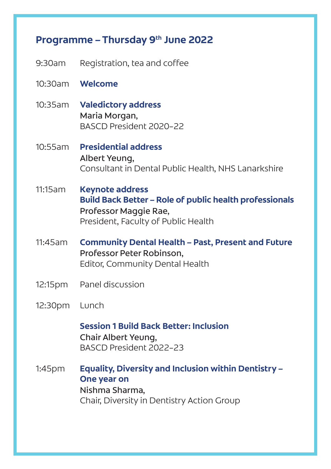#### Programme – Thursday 9<sup>th</sup> June 2022

- 9:30am Registration, tea and coffee
- 10:30am **Welcome**
- 10:35am **Valedictory address** Maria Morgan, BASCD President 2020–22
- 10:55am **Presidential address** Albert Yeung, Consultant in Dental Public Health, NHS Lanarkshire
- 11:15am **Keynote address Build Back Better – Role of public health professionals** Professor Maggie Rae, President, Faculty of Public Health
- 11:45am **Community Dental Health Past, Present and Future** Professor Peter Robinson, Editor, Community Dental Health
- 12:15pm Panel discussion
- 12:30pm Lunch

**Session 1 Build Back Better: Inclusion** Chair Albert Yeung, BASCD President 2022–23

1:45pm **Equality, Diversity and Inclusion within Dentistry – One year on** Nishma Sharma, Chair, Diversity in Dentistry Action Group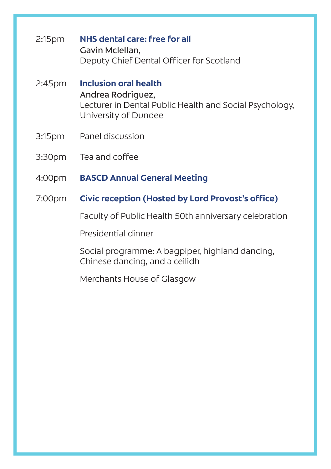- 2:15pm **NHS dental care: free for all** Gavin Mclellan, Deputy Chief Dental Officer for Scotland
- 2:45pm **Inclusion oral health** Andrea Rodriguez, Lecturer in Dental Public Health and Social Psychology, University of Dundee
- 3:15pm Panel discussion
- 3:30pm Tea and coffee
- 4:00pm **BASCD Annual General Meeting**
- 7:00pm **Civic reception (Hosted by Lord Provost's office)**

Faculty of Public Health 50th anniversary celebration

Presidential dinner

 Social programme: A bagpiper, highland dancing, Chinese dancing, and a ceilidh

Merchants House of Glasgow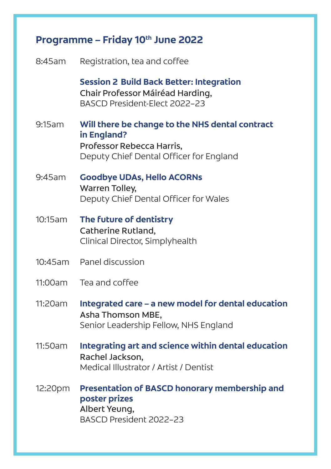| Programme – Friday 10th June 2022 |                                                                                                                                        |
|-----------------------------------|----------------------------------------------------------------------------------------------------------------------------------------|
| 8:45am                            | Registration, tea and coffee                                                                                                           |
|                                   | <b>Session 2 Build Back Better: Integration</b><br>Chair Professor Máiréad Harding,<br>BASCD President-Elect 2022-23                   |
| 9:15am                            | Will there be change to the NHS dental contract<br>in England?<br>Professor Rebecca Harris,<br>Deputy Chief Dental Officer for England |
| 9:45am                            | <b>Goodbye UDAs, Hello ACORNs</b><br><b>Warren Tolley,</b><br>Deputy Chief Dental Officer for Wales                                    |
| 10:15am                           | The future of dentistry<br>Catherine Rutland,<br>Clinical Director, Simplyhealth                                                       |
| $10:45$ am                        | Panel discussion                                                                                                                       |
| 11:00am                           | Tea and coffee                                                                                                                         |
| 11:20am                           | Integrated care - a new model for dental education<br>Asha Thomson MBE,<br>Senior Leadership Fellow, NHS England                       |
| 11:50am                           | Integrating art and science within dental education<br>Rachel Jackson,<br>Medical Illustrator / Artist / Dentist                       |
| 12:20pm                           | Presentation of BASCD honorary membership and<br>poster prizes<br>Albert Yeung,<br>BASCD President 2022-23                             |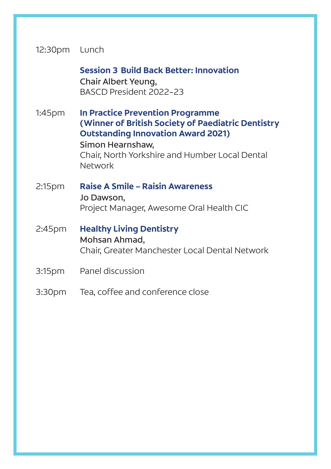#### 12:30pm Lunch

 **Session 3 Build Back Better: Innovation** Chair Albert Yeung,

BASCD President 2022–23

1:45pm **In Practice Prevention Programme (Winner of British Society of Paediatric Dentistry Outstanding Innovation Award 2021)** Simon Hearnshaw, Chair, North Yorkshire and Humber Local Dental Network

2:15pm **Raise A Smile – Raisin Awareness** Jo Dawson, Project Manager, Awesome Oral Health CIC

2:45pm **Healthy Living Dentistry** Mohsan Ahmad, Chair, Greater Manchester Local Dental Network

- 3:15pm Panel discussion
- 3:30pm Tea, coffee and conference close